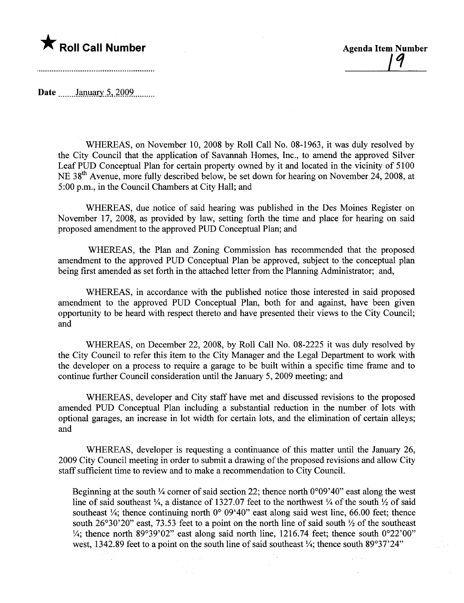## **The Roll Call Number Agents Contained Agents Agents Item Number**

1'1

Date  $\frac{\text{January } 5,2009}{\text{January } 1000}$ 

WHEREAS, on November 10,2008 by Roll Call No. 08-1963, it was duly resolved by the City Council that the application of Savannah Homes, Inc., to amend the approved Silver Leaf PUD Conceptual Plan for certain property owned by it and located in the vicinity of 5100 NE 38<sup>th</sup> Avenue, more fully described below, be set down for hearing on November 24, 2008, at 5:00 p.m., in the Council Chambers at City Hall; and

WHEREAS, due notice of said hearing was published in the Des Moines Register on November 17, 2008, as provided by law, setting forth the time and place for hearing on said proposed amendment to the approved PUD Conceptual Plan; and

WHEREAS, the Plan and Zoning Commission has recommended that the proposed amendment to the approved PUD Conceptual Plan be approved, subject to the conceptual plan being first amended as set forth in the attached letter from the Planning Administrator; and,

WHEREAS, in accordance with the published notice those interested in said proposed amendment to the approved PUD Conceptual Plan, both for and against, have been given opportunity to be heard with respect thereto and have presented their views to the City Council; and

WHEREAS, on December 22, 2008, by Roll Call No. 08-2225 it was duly resolved by the City Council to refer this item to the City Manager and the Legal Deparment to work with the developer on a process to require a garage to be built within a specific time frame and to continue further Council consideration until the January 5, 2009 meeting; and

WHEREAS, developer and City staff have met and discussed revisions to the proposed amended PUD Conceptual Plan including a substantial reduction in the number of lots with optional garages, an increase in lot width for certain lots, and the elimination of certain alleys; and

WHEREAS, developer is requesting a continuance of this matter until the January 26, 2009 City Council meeting in order to submit a drawing of the proposed revisions and allow City staff sufficient time to review and to make a recommendation to City CounciL.

Beginning at the south  $\frac{1}{4}$  corner of said section 22; thence north 0°09'40" east along the west line of said southeast  $\frac{1}{4}$ , a distance of 1327.07 feet to the northwest  $\frac{1}{4}$  of the south  $\frac{1}{2}$  of said southeast  $\frac{1}{4}$ ; thence continuing north 0° 09'40" east along said west line, 66.00 feet; thence south  $26^{\circ}30^{\circ}20^{\circ}$  east, 73.53 feet to a point on the north line of said south  $\frac{1}{2}$  of the southeast  $\frac{1}{4}$ ; thence north 89°39'02" east along said north line, 1216.74 feet; thence south 0°22'00" west, 1342.89 feet to a point on the south line of said southeast  $\frac{1}{4}$ ; thence south 89°37'24"